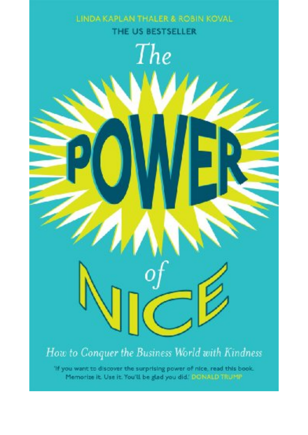LINDA KAPLAN THALER & ROSIN KOVAL THE US BESTSELLER

The

How to Conquer the Business World with Kindness

'If you want to discover the surprising power of nice, read this book. Memorize it. Use it. You'll be glad you did.' DONALD TRUMP.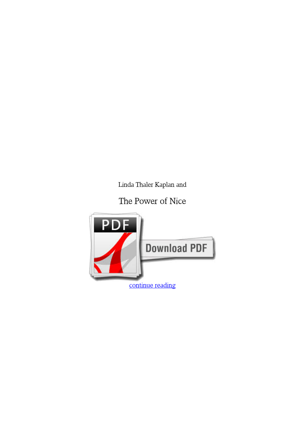*Linda Thaler Kaplan and*

**The Power of Nice**

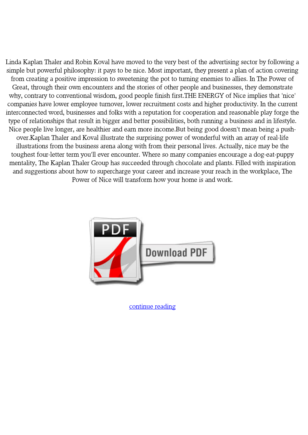Linda Kaplan Thaler and Robin Koval have moved to the very best of the advertising sector by following a simple but powerful philosophy: it pays to be nice. Most important, they present a plan of action covering from creating a positive impression to sweetening the pot to turning enemies to allies. In The Power of Great, through their own encounters and the stories of other people and businesses, they demonstrate why, contrary to conventional wisdom, good people finish first.THE ENERGY of Nice implies that 'nice' companies have lower employee turnover, lower recruitment costs and higher productivity. In the current interconnected word, businesses and folks with a reputation for cooperation and reasonable play forge the type of relationships that result in bigger and better possibilities, both running a business and in lifestyle. Nice people live longer, are healthier and earn more income.But being good doesn't mean being a pushover.Kaplan Thaler and Koval illustrate the surprising power of wonderful with an array of real-life illustrations from the business arena along with from their personal lives. Actually, nice may be the toughest four-letter term you'll ever encounter. Where so many companies encourage a dog-eat-puppy mentality, The Kaplan Thaler Group has succeeded through chocolate and plants. Filled with inspiration and suggestions about how to supercharge your career and increase your reach in the workplace, The Power of Nice will transform how your home is and work.



[continue reading](http://bit.ly/2Tge8Fv)